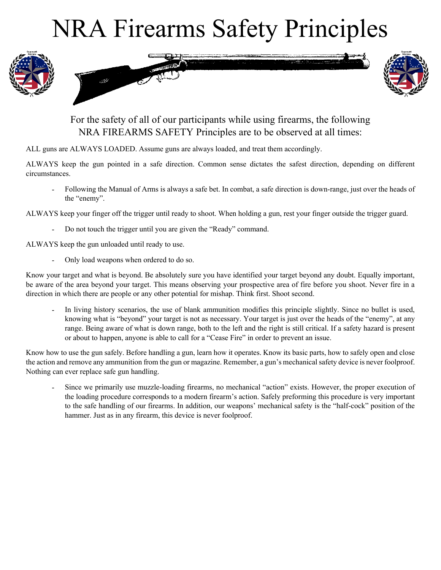## NRA Firearms Safety Principles





## For the safety of all of our participants while using firearms, the following NRA FIREARMS SAFETY Principles are to be observed at all times:

ALL guns are ALWAYS LOADED. Assume guns are always loaded, and treat them accordingly.

ALWAYS keep the gun pointed in a safe direction. Common sense dictates the safest direction, depending on different circumstances.

Following the Manual of Arms is always a safe bet. In combat, a safe direction is down-range, just over the heads of the "enemy".

ALWAYS keep your finger off the trigger until ready to shoot. When holding a gun, rest your finger outside the trigger guard.

Do not touch the trigger until you are given the "Ready" command.

ALWAYS keep the gun unloaded until ready to use.

Only load weapons when ordered to do so.

Know your target and what is beyond. Be absolutely sure you have identified your target beyond any doubt. Equally important, be aware of the area beyond your target. This means observing your prospective area of fire before you shoot. Never fire in a direction in which there are people or any other potential for mishap. Think first. Shoot second.

In living history scenarios, the use of blank ammunition modifies this principle slightly. Since no bullet is used, knowing what is "beyond" your target is not as necessary. Your target is just over the heads of the "enemy", at any range. Being aware of what is down range, both to the left and the right is still critical. If a safety hazard is present or about to happen, anyone is able to call for a "Cease Fire" in order to prevent an issue.

Know how to use the gun safely. Before handling a gun, learn how it operates. Know its basic parts, how to safely open and close the action and remove any ammunition from the gun or magazine. Remember, a gun's mechanical safety device is never foolproof. Nothing can ever replace safe gun handling.

Since we primarily use muzzle-loading firearms, no mechanical "action" exists. However, the proper execution of the loading procedure corresponds to a modern firearm's action. Safely preforming this procedure is very important to the safe handling of our firearms. In addition, our weapons' mechanical safety is the "half-cock" position of the hammer. Just as in any firearm, this device is never foolproof.